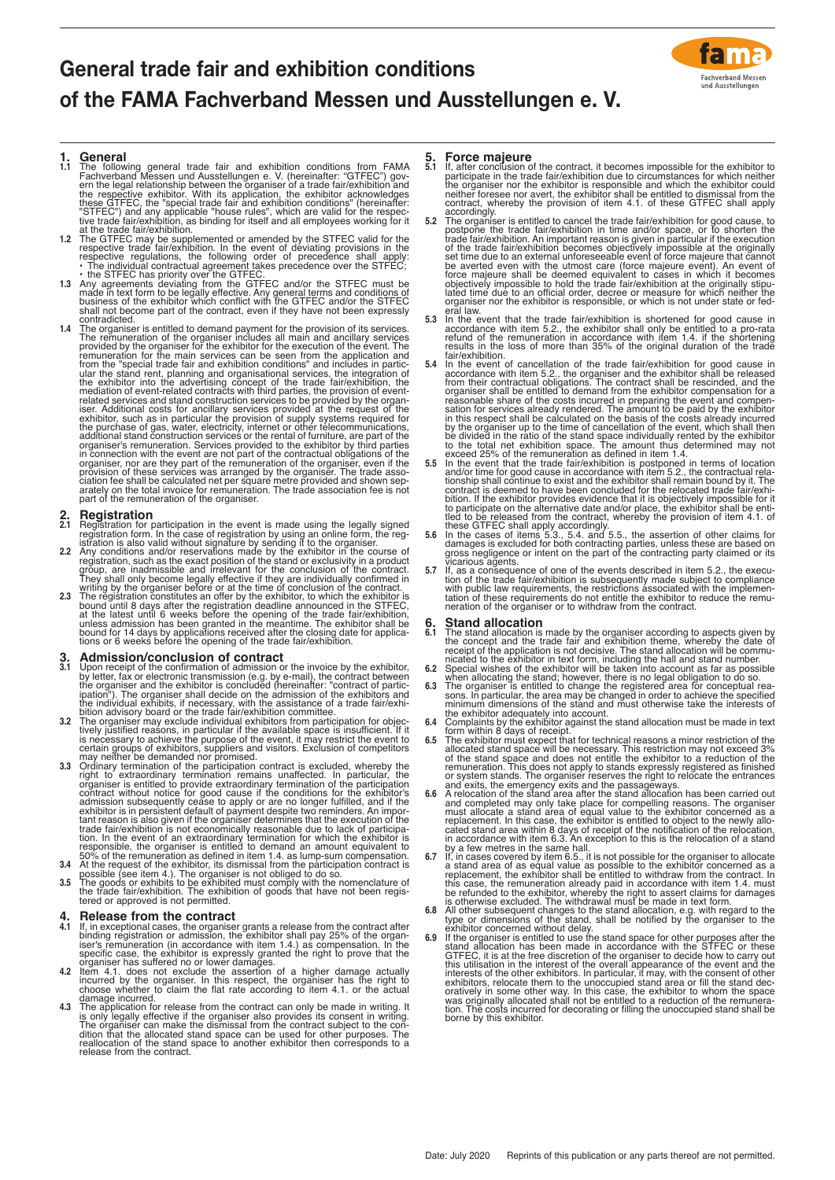# **General trade fair and exhibition conditions of the FAMA Fachverband Messen und Ausstellungen e. V.**



- **1. General**<br> **1.1 The** following general trade fair and exhibition conditions from FAMA<br>
The following deneral md Ausstellungen e. V. (hereinafter: "GTFEC") gov-<br>
ern the legal relationship between the organiser of a tra
- 
- 
- 1.4 The organiser is entitled to demand payment for the provision of its services. The remuneration of the organiser includes all main and ancillary services in provided by the organiser for the exhibitor for the execution

- 
- 
- **2.1 Registration**<br> **2.1 Registration**<br> **2.1 Registration** form anticipation in the event is made using the legally signed<br>
registration form. In the case of registration by using an online form, the registration is also

- **3. Admission/conclusion of contract**<br> **a.1** Upon receipt of the confirmation of admission or the invoice by the exhibitor,<br>
by letter, fax or electronic transmission (e.g. by e-mail), the contract between<br>
the organiser
- 
- may neither be demanded nor promised.<br>
3.3 Ordinary termination of the participation contract is excluded, whereby the<br>
organiser is entitled to provide extraordinary termination remains unaffected. In particular, the<br>
or
- 

- 
- 
- **4. Release from the contract**<br>
11 It, in exceptional cases, the organiser grants a release from the contract after<br>
11 It, in exceptional cases, the organiser's remuneration or admission, the exhibitor shall pay 25% of t

- 
- 5.1 **Force majeure**<br>5.1 **Force majeure**<br>5.1 **If**, after conclusion of the contract, it becomes impossible for the exhibitor to<br>participate in the trade fair/exhibition due to circumstances for which neither<br>the organiser
- 5.3 In the event that the trade fair/exhibition is shortened for good cause in accordance with item 5.2., the exhibitor shall only be entitled to a pro-rata refund of the refund of the remuneration in accordance with item
- fair/exhibition.<br>5.4 In the event of cancellation of the trade fair/exhibition for good cause in<br>accordance with item 5.2., the organiser and the exhibitor shall be released<br>from their contractual obligations. The contract
- organiser shall be entitled to demand from the exhibitor compensation for a<br>reasonable share of the costs incurred in preparing the event and compen-<br>stion for services already rendered. The amount to be paid by the exhibi
- 5.6 In the cases of items 5.3., 5.4. and 5.5., the assertion of other claims for damages is excluded for both contracting parties, unless these are based on gross negligence or intent on the part of the contracting party c
- 5.7 If, as a consequence of one of the events described in item 5.2., the execution of the trade fair/exhibition is subsequently made subject to compliance with public law requirements, the restrictions associated with the

- 
- 
- 
- 
- 
- 6. Strand allocation is made by the organiser according to aspects given by the concept and the trade fair and exhibition thene, when allocation is not decisive. The stand dividible commutive capied in exhibits in the sylu
- 
- 
- exhibitor concerned without delay.<br>
6.9 If the organiser is entitled to use the stand space for other purposes after the<br>
stand allocation has been made in accordance with the STFEC or these<br>
GTFEC, it is at the free discr